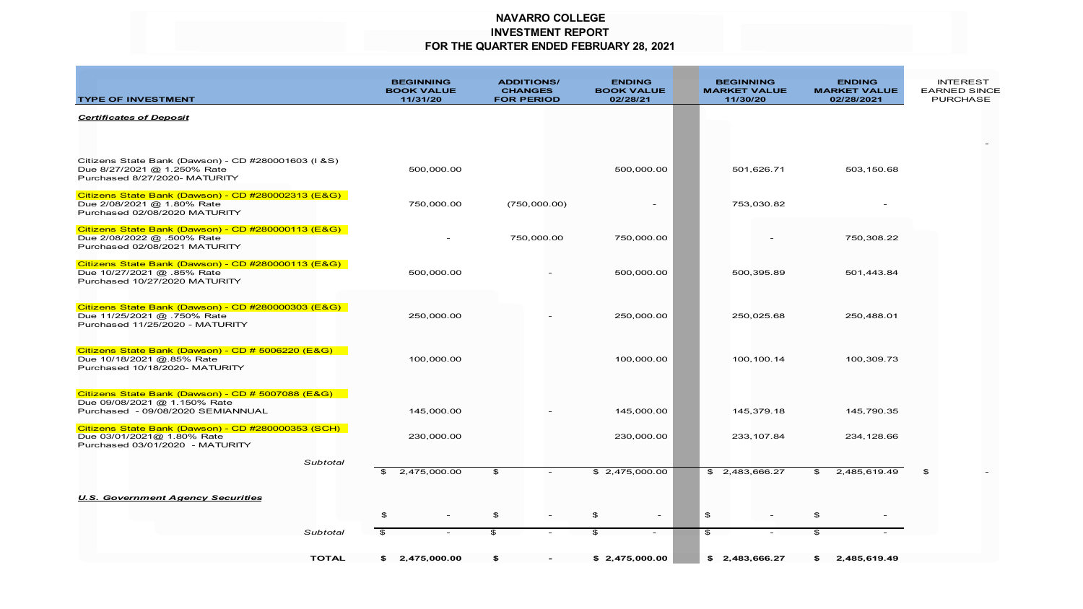### **NAVARRO COLLEGE INVESTMENT REPORT FOR THE QUARTER ENDED FEBRUARY 28, 2021**

| <b>TYPE OF INVESTMENT</b>                                                                                              |              | <b>BEGINNING</b><br><b>BOOK VALUE</b><br>11/31/20 |                | <b>ADDITIONS/</b><br><b>CHANGES</b><br><b>FOR PERIOD</b> | <b>ENDING</b><br><b>BOOK VALUE</b><br>02/28/21 |                          |                | <b>BEGINNING</b><br><b>MARKET VALUE</b><br>11/30/20 | <b>ENDING</b><br><b>MARKET VALUE</b><br>02/28/2021 | <b>INTEREST</b><br><b>EARNED SINCE</b><br><b>PURCHASE</b> |
|------------------------------------------------------------------------------------------------------------------------|--------------|---------------------------------------------------|----------------|----------------------------------------------------------|------------------------------------------------|--------------------------|----------------|-----------------------------------------------------|----------------------------------------------------|-----------------------------------------------------------|
| <b>Certificates of Deposit</b>                                                                                         |              |                                                   |                |                                                          |                                                |                          |                |                                                     |                                                    |                                                           |
| Citizens State Bank (Dawson) - CD #280001603 (I & S)<br>Due 8/27/2021 @ 1.250% Rate<br>Purchased 8/27/2020- MATURITY   |              | 500,000.00                                        |                |                                                          | 500,000.00                                     |                          |                | 501,626.71                                          | 503, 150.68                                        |                                                           |
| Citizens State Bank (Dawson) - CD #280002313 (E&G)<br>Due 2/08/2021 @ 1.80% Rate<br>Purchased 02/08/2020 MATURITY      |              | 750,000.00                                        |                | (750,000.00)                                             |                                                |                          |                | 753,030.82                                          |                                                    |                                                           |
| Citizens State Bank (Dawson) - CD #280000113 (E&G)<br>Due 2/08/2022 @ .500% Rate<br>Purchased 02/08/2021 MATURITY      |              |                                                   |                | 750,000.00                                               | 750,000.00                                     |                          |                |                                                     | 750,308.22                                         |                                                           |
| Citizens State Bank (Dawson) - CD #280000113 (E&G)<br>Due 10/27/2021 @ .85% Rate<br>Purchased 10/27/2020 MATURITY      |              | 500,000.00                                        |                |                                                          | 500,000.00                                     |                          |                | 500,395.89                                          | 501,443.84                                         |                                                           |
| Citizens State Bank (Dawson) - CD #280000303 (E&G)<br>Due 11/25/2021 @ .750% Rate<br>Purchased 11/25/2020 - MATURITY   |              | 250,000.00                                        |                |                                                          | 250,000.00                                     |                          |                | 250,025.68                                          | 250,488.01                                         |                                                           |
| Citizens State Bank (Dawson) - CD # 5006220 (E&G)<br>Due 10/18/2021 @.85% Rate<br>Purchased 10/18/2020- MATURITY       |              | 100,000.00                                        |                |                                                          | 100,000.00                                     |                          |                | 100,100.14                                          | 100,309.73                                         |                                                           |
| Citizens State Bank (Dawson) - CD # 5007088 (E&G)<br>Due 09/08/2021 @ 1.150% Rate<br>Purchased - 09/08/2020 SEMIANNUAL |              | 145,000.00                                        |                |                                                          | 145,000.00                                     |                          |                | 145,379.18                                          | 145,790.35                                         |                                                           |
| Citizens State Bank (Dawson) - CD #280000353 (SCH)<br>Due 03/01/2021@ 1.80% Rate<br>Purchased 03/01/2020 - MATURITY    |              | 230,000.00                                        |                |                                                          | 230,000.00                                     |                          |                | 233, 107.84                                         | 234,128.66                                         |                                                           |
|                                                                                                                        | Subtotal     | \$<br>2,475,000.00                                | $\mathfrak{P}$ |                                                          | \$2,475,000.00                                 |                          |                | \$2,483,666.27                                      | \$<br>2,485,619.49                                 | \$                                                        |
| <b>U.S. Government Agency Securities</b>                                                                               |              | \$                                                | \$             | $\overline{\phantom{a}}$                                 | $\mathfrak{P}$                                 | $\sim$                   | $\mathfrak{P}$ | $\sim$                                              | \$                                                 |                                                           |
|                                                                                                                        | Subtotal     | \$                                                | \$             | $\sim$                                                   | $\mathfrak{S}$                                 | $\overline{\phantom{a}}$ | $\mathfrak{F}$ | $\overline{\phantom{a}}$                            | \$                                                 |                                                           |
|                                                                                                                        | <b>TOTAL</b> | \$2,475,000.00                                    | \$             | $\overline{\phantom{a}}$                                 | \$2,475,000.00                                 |                          |                | \$2,483,666.27                                      | \$<br>2,485,619.49                                 |                                                           |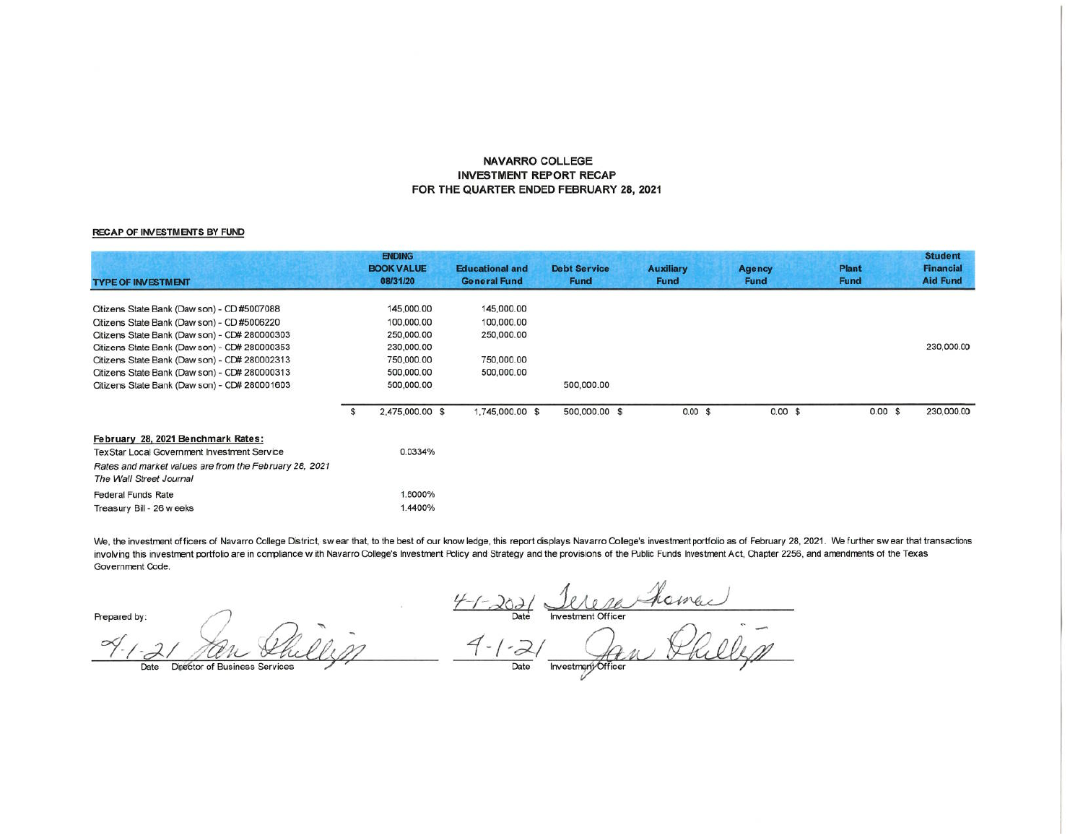#### **NAVARRO COLLEGE INVESTMENT REPORT RECAP** FOR THE QUARTER ENDED FEBRUARY 28, 2021

#### **RECAP OF INVESTMENTS BY FUND**

| <b>TYPE OF INVESTMENT</b>                              |   | <b>ENDING</b><br><b>BOOK VALUE</b><br>08/31/20 | <b>Educational and</b><br><b>General Fund</b> | <b>Debt Service</b><br><b>Fund</b> | <b>Auxiliary</b><br><b>Fund</b> | <b>Agency</b><br><b>Fund</b> | <b>Plant</b><br><b>Fund</b> | <b>Student</b><br><b>Financial</b><br><b>Aid Fund</b> |
|--------------------------------------------------------|---|------------------------------------------------|-----------------------------------------------|------------------------------------|---------------------------------|------------------------------|-----------------------------|-------------------------------------------------------|
| Citizens State Bank (Daw son) - CD #5007088            |   | 145,000.00                                     | 145,000.00                                    |                                    |                                 |                              |                             |                                                       |
| Citizens State Bank (Daw son) - CD #5006220            |   | 100,000.00                                     | 100,000.00                                    |                                    |                                 |                              |                             |                                                       |
| Citizens State Bank (Daw son) - CD# 280000303          |   | 250,000.00                                     | 250,000.00                                    |                                    |                                 |                              |                             |                                                       |
| Citizens State Bank (Daw son) - CD# 280000353          |   | 230,000.00                                     |                                               |                                    |                                 |                              |                             | 230,000.00                                            |
| Citizens State Bank (Daw son) - CD# 280002313          |   | 750,000.00                                     | 750,000.00                                    |                                    |                                 |                              |                             |                                                       |
| Citizens State Bank (Daw son) - CD# 280000313          |   | 500,000.00                                     | 500,000,00                                    |                                    |                                 |                              |                             |                                                       |
| Citizens State Bank (Daw son) - CD# 280001603          |   | 500,000.00                                     |                                               | 500,000.00                         |                                 |                              |                             |                                                       |
|                                                        | Ъ | 2,475,000.00 \$                                | 1,745,000.00 \$                               | 500,000.00 \$                      | $0.00$ \$                       | $0.00$ \$                    | 0.00 S                      | 230,000.00                                            |
| February 28, 2021 Benchmark Rates:                     |   |                                                |                                               |                                    |                                 |                              |                             |                                                       |
| <b>TexStar Local Government Investment Service</b>     |   | 0.0334%                                        |                                               |                                    |                                 |                              |                             |                                                       |
| Rates and market values are from the February 28, 2021 |   |                                                |                                               |                                    |                                 |                              |                             |                                                       |
| The Wall Street Journal                                |   |                                                |                                               |                                    |                                 |                              |                             |                                                       |
| <b>Federal Funds Rate</b>                              |   | 1.6000%                                        |                                               |                                    |                                 |                              |                             |                                                       |
| Treasury Bill - 26 w eeks                              |   | 1.4400%                                        |                                               |                                    |                                 |                              |                             |                                                       |

We, the investment officers of Navarro College District, swear that, to the best of our know ledge, this report displays Navarro College's investment portfolio as of February 28, 2021. We further swear that transactions involving this investment portfolio are in compliance with Navarro College's Investment Policy and Strategy and the provisions of the Public Funds Investment Act, Chapter 2256, and amendments of the Texas Government Code.

Prepared by:

Director of Business Services

4-1-2021 <u>Jerre Home</u>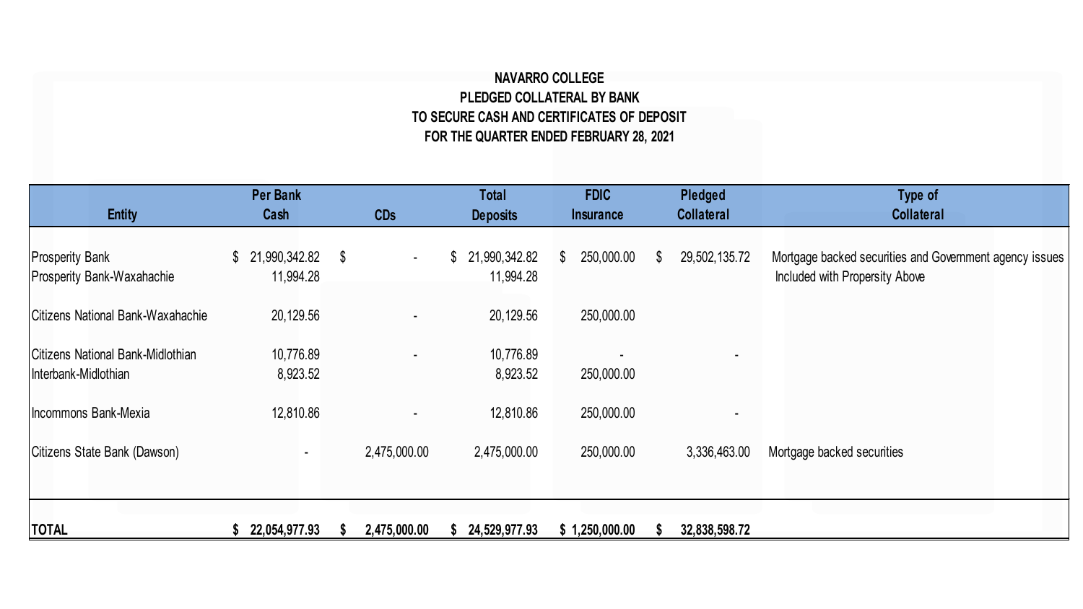## **NAVARRO COLLEGE PLEDGED COLLATERAL BY BANK TO SECURE CASH AND CERTIFICATES OF DEPOSIT FOR THE QUARTER ENDED FEBRUARY 28, 2021**

| <b>Entity</b>                                             | <b>Per Bank</b><br>Cash          | <b>CDs</b>   | <b>Total</b><br><b>Deposits</b> | <b>FDIC</b><br><b>Insurance</b> | Pledged<br><b>Collateral</b> | Type of<br><b>Collateral</b>                                                              |
|-----------------------------------------------------------|----------------------------------|--------------|---------------------------------|---------------------------------|------------------------------|-------------------------------------------------------------------------------------------|
| <b>Prosperity Bank</b><br>Prosperity Bank-Waxahachie      | $$21,990,342.82$ \$<br>11,994.28 | $\sim$       | \$21,990,342.82<br>11,994.28    | 250,000.00<br>\$                | 29,502,135.72<br>\$          | Mortgage backed securities and Government agency issues<br>Included with Propersity Above |
| Citizens National Bank-Waxahachie                         | 20,129.56                        |              | 20,129.56                       | 250,000.00                      |                              |                                                                                           |
| Citizens National Bank-Midlothian<br>Interbank-Midlothian | 10,776.89<br>8,923.52            |              | 10,776.89<br>8,923.52           | 250,000.00                      |                              |                                                                                           |
| Incommons Bank-Mexia                                      | 12,810.86                        |              | 12,810.86                       | 250,000.00                      |                              |                                                                                           |
| Citizens State Bank (Dawson)                              | $\blacksquare$                   | 2,475,000.00 | 2,475,000.00                    | 250,000.00                      | 3,336,463.00                 | Mortgage backed securities                                                                |
|                                                           |                                  |              |                                 |                                 |                              |                                                                                           |
| <b>TOTAL</b>                                              | 22,054,977.93                    | 2,475,000.00 | 24,529,977.93                   | \$1,250,000.00                  | 32,838,598.72                |                                                                                           |